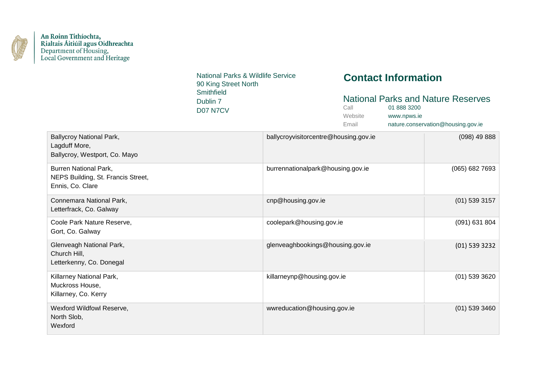

National Parks & Wildlife Service 90 King Street North **Smithfield** Dublin 7 D07 N7CV

# **Contact Information**

### National Parks and Nature Reserves

| Call    | 01 888 3200                        |
|---------|------------------------------------|
| Website | www.npws.ie                        |
| Email   | nature.conservation@housing.gov.ie |

| <b>Ballycroy National Park,</b><br>Lagduff More,<br>Ballycroy, Westport, Co. Mayo      | ballycroyvisitorcentre@housing.gov.ie | $(098)$ 49 888   |
|----------------------------------------------------------------------------------------|---------------------------------------|------------------|
| <b>Burren National Park,</b><br>NEPS Building, St. Francis Street,<br>Ennis, Co. Clare | burrennationalpark@housing.gov.ie     | $(065)$ 682 7693 |
| Connemara National Park,<br>Letterfrack, Co. Galway                                    | cnp@housing.gov.ie                    | $(01)$ 539 3157  |
| Coole Park Nature Reserve,<br>Gort, Co. Galway                                         | coolepark@housing.gov.ie              | $(091)$ 631 804  |
| Glenveagh National Park,<br>Church Hill,<br>Letterkenny, Co. Donegal                   | glenveaghbookings@housing.gov.ie      | $(01)$ 539 3232  |
| Killarney National Park,<br>Muckross House,<br>Killarney, Co. Kerry                    | killarneynp@housing.gov.ie            | $(01)$ 539 3620  |
| Wexford Wildfowl Reserve,<br>North Slob,<br>Wexford                                    | wwreducation@housing.gov.ie           | $(01)$ 539 3460  |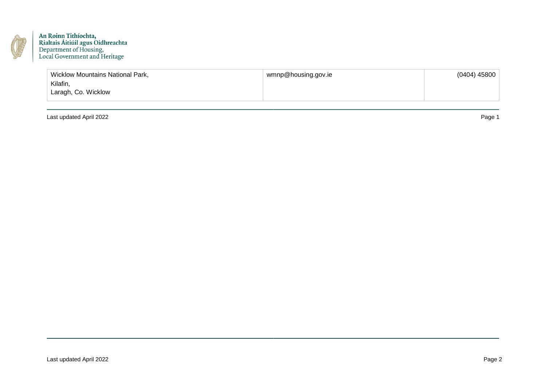

| <b>Wicklow Mountains National Park,</b> | wmnp@housing.gov.ie | (0404) 45800 |
|-----------------------------------------|---------------------|--------------|
| Kilafin,                                |                     |              |
| Laragh, Co. Wicklow                     |                     |              |
|                                         |                     |              |

Last updated April 2022 Page 1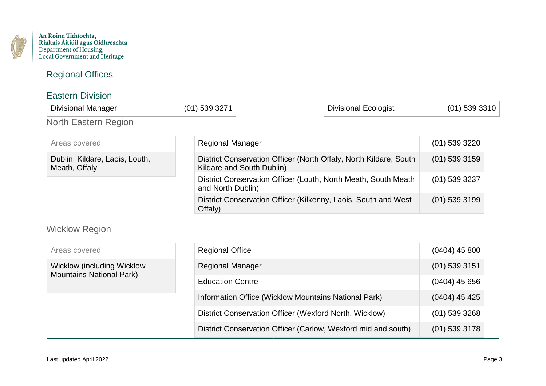

## Regional Offices

#### Eastern Division

| <b>Divisional Manager</b> |  | Divisional Ecologist | - 30 |
|---------------------------|--|----------------------|------|
| North Eastern<br>חחומי    |  |                      |      |

| Areas covered                                   | <b>Regional Manager</b>                                                                        | $(01)$ 539 3220 |
|-------------------------------------------------|------------------------------------------------------------------------------------------------|-----------------|
| Dublin, Kildare, Laois, Louth,<br>Meath, Offaly | District Conservation Officer (North Offaly, North Kildare, South<br>Kildare and South Dublin) | $(01)$ 539 3159 |
|                                                 | District Conservation Officer (Louth, North Meath, South Meath<br>and North Dublin)            | $(01)$ 539 3237 |
|                                                 | District Conservation Officer (Kilkenny, Laois, South and West<br>Offaly)                      | $(01)$ 539 3199 |

# Wicklow Region

| Areas covered                      | <b>Regional Office</b>                                        | $(0404)$ 45 800 |
|------------------------------------|---------------------------------------------------------------|-----------------|
| <b>Wicklow (including Wicklow)</b> | <b>Regional Manager</b>                                       | $(01)$ 539 3151 |
| <b>Mountains National Park)</b>    | <b>Education Centre</b>                                       | $(0404)$ 45 656 |
|                                    | Information Office (Wicklow Mountains National Park)          | $(0404)$ 45 425 |
|                                    | District Conservation Officer (Wexford North, Wicklow)        | $(01)$ 539 3268 |
|                                    | District Conservation Officer (Carlow, Wexford mid and south) | $(01)$ 539 3178 |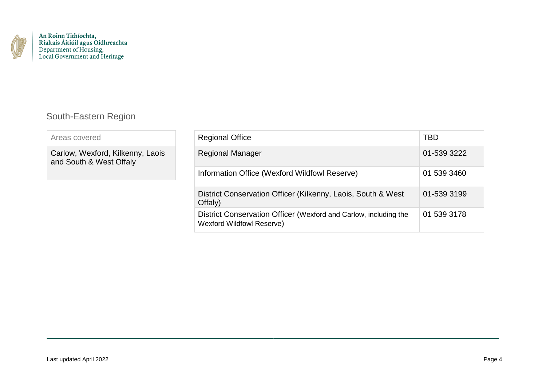

## South-Eastern Region

| Areas covered |  |
|---------------|--|
|               |  |

Carlow, Wexford, Kilkenny, Laois and South & West Offaly

| <b>Regional Office</b>                                                                               | TBD         |
|------------------------------------------------------------------------------------------------------|-------------|
| <b>Regional Manager</b>                                                                              | 01-539 3222 |
| Information Office (Wexford Wildfowl Reserve)                                                        | 01 539 3460 |
| District Conservation Officer (Kilkenny, Laois, South & West<br>Offaly)                              | 01-539 3199 |
| District Conservation Officer (Wexford and Carlow, including the<br><b>Wexford Wildfowl Reserve)</b> | 01 539 3178 |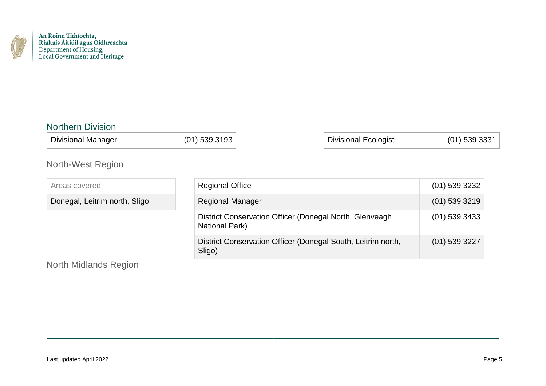

#### Northern Division

Divisional Manager (01) 539 3193 | Divisional Ecologist | (01) 539 3331

## North-West Region

Areas covered Donegal, Leitrim north, Sligo Regional Office (01) 539 3232 Regional Manager (01) 539 3219 District Conservation Officer (Donegal North, Glenveagh National Park) (01) 539 3433 District Conservation Officer (Donegal South, Leitrim north, Sligo) (01) 539 3227

### North Midlands Region

| <b>Regional Office</b>                                                           | $(01)$ 539 3232 |
|----------------------------------------------------------------------------------|-----------------|
| <b>Regional Manager</b>                                                          | $(01)$ 539 3219 |
| District Conservation Officer (Donegal North, Glenveagh<br><b>National Park)</b> | $(01)$ 539 3433 |
| District Conservation Officer (Donegal South, Leitrim north,<br>Sligo)           | $(01)$ 539 3227 |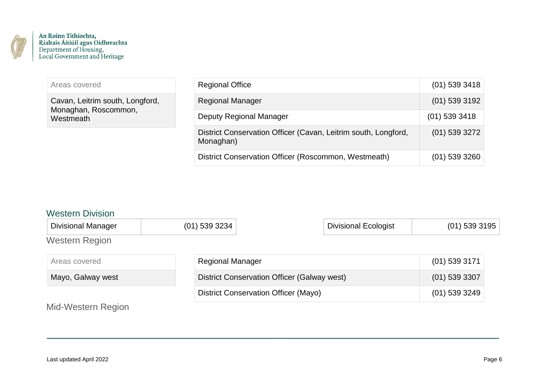

| Areas covered                                                        | <b>Regional Office</b>                                                      | $(01)$ 539 3418 |
|----------------------------------------------------------------------|-----------------------------------------------------------------------------|-----------------|
| Cavan, Leitrim south, Longford,<br>Monaghan, Roscommon,<br>Westmeath | <b>Regional Manager</b>                                                     | $(01)$ 539 3192 |
|                                                                      | <b>Deputy Regional Manager</b>                                              | $(01)$ 539 3418 |
|                                                                      | District Conservation Officer (Cavan, Leitrim south, Longford,<br>Monaghan) | $(01)$ 539 3272 |
|                                                                      | District Conservation Officer (Roscommon, Westmeath)                        | $(01)$ 539 3260 |

#### Western Division

| <b>Divisional Manager</b> | $(01)$ 539 3234                             | <b>Divisional Ecologist</b> | $(01)$ 539 3195 |
|---------------------------|---------------------------------------------|-----------------------------|-----------------|
| <b>Western Region</b>     |                                             |                             |                 |
| Areas covered             | <b>Regional Manager</b>                     |                             | $(01)$ 539 3171 |
| Mayo, Galway west         | District Conservation Officer (Galway west) |                             | $(01)$ 539 3307 |
|                           | <b>District Conservation Officer (Mayo)</b> |                             | $(01)$ 539 3249 |
| Mid-Western Region        |                                             |                             |                 |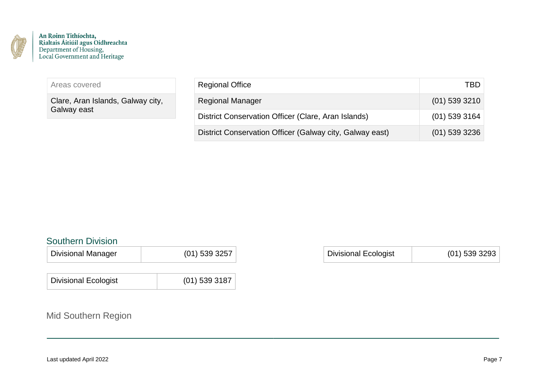

Areas covered

Clare, Aran Islands, Galway city, Galway east

| <b>Regional Office</b>                                   | TBD             |
|----------------------------------------------------------|-----------------|
| <b>Regional Manager</b>                                  | $(01)$ 539 3210 |
| District Conservation Officer (Clare, Aran Islands)      | $(01)$ 539 3164 |
| District Conservation Officer (Galway city, Galway east) | $(01)$ 539 3236 |

### Southern Division

| <b>Divisional Manager</b> | $(01)$ 539 3257 |  | Divisional Ecologist | $(01)$ 539 3293 |
|---------------------------|-----------------|--|----------------------|-----------------|
|---------------------------|-----------------|--|----------------------|-----------------|

| <b>Divisional Ecologist</b> | $(01)$ 539 3187 |
|-----------------------------|-----------------|
|                             |                 |

# Mid Southern Region

| <b>Divisional Ecologist</b> | $(01)$ 539 3293 |
|-----------------------------|-----------------|
|-----------------------------|-----------------|